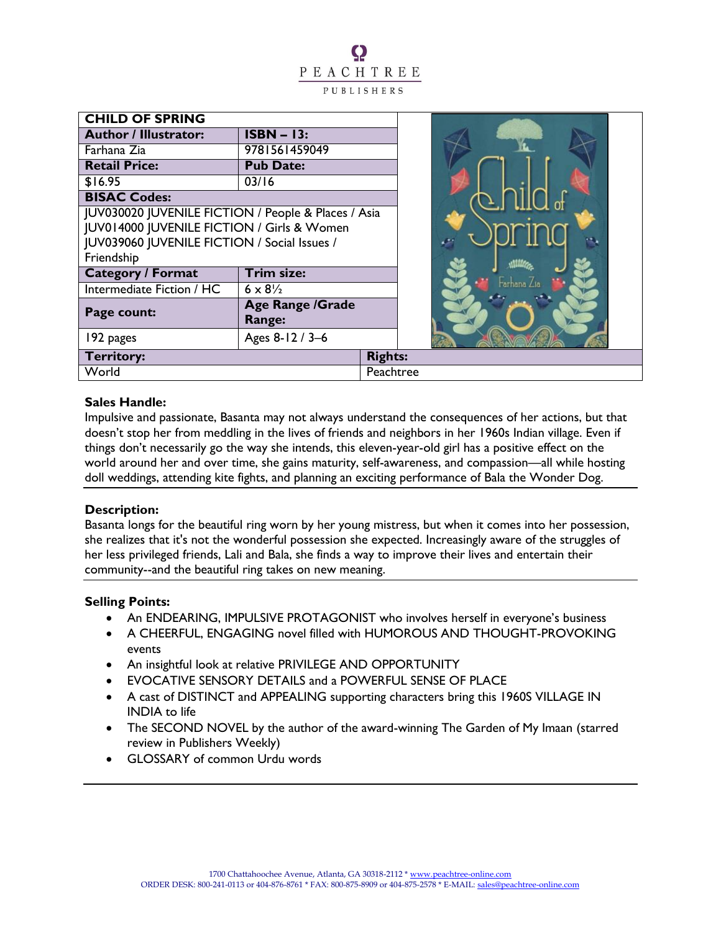

Ω

## **Sales Handle:**

Impulsive and passionate, Basanta may not always understand the consequences of her actions, but that doesn't stop her from meddling in the lives of friends and neighbors in her 1960s Indian village. Even if things don't necessarily go the way she intends, this eleven-year-old girl has a positive effect on the world around her and over time, she gains maturity, self-awareness, and compassion—all while hosting doll weddings, attending kite fights, and planning an exciting performance of Bala the Wonder Dog.

#### **Description:**

Basanta longs for the beautiful ring worn by her young mistress, but when it comes into her possession, she realizes that it's not the wonderful possession she expected. Increasingly aware of the struggles of her less privileged friends, Lali and Bala, she finds a way to improve their lives and entertain their community--and the beautiful ring takes on new meaning.

#### **Selling Points:**

- An ENDEARING, IMPULSIVE PROTAGONIST who involves herself in everyone's business
- A CHEERFUL, ENGAGING novel filled with HUMOROUS AND THOUGHT-PROVOKING events
- An insightful look at relative PRIVILEGE AND OPPORTUNITY
- EVOCATIVE SENSORY DETAILS and a POWERFUL SENSE OF PLACE
- A cast of DISTINCT and APPEALING supporting characters bring this 1960S VILLAGE IN INDIA to life
- The SECOND NOVEL by the author of the award-winning The Garden of My Imaan (starred review in Publishers Weekly)
- GLOSSARY of common Urdu words